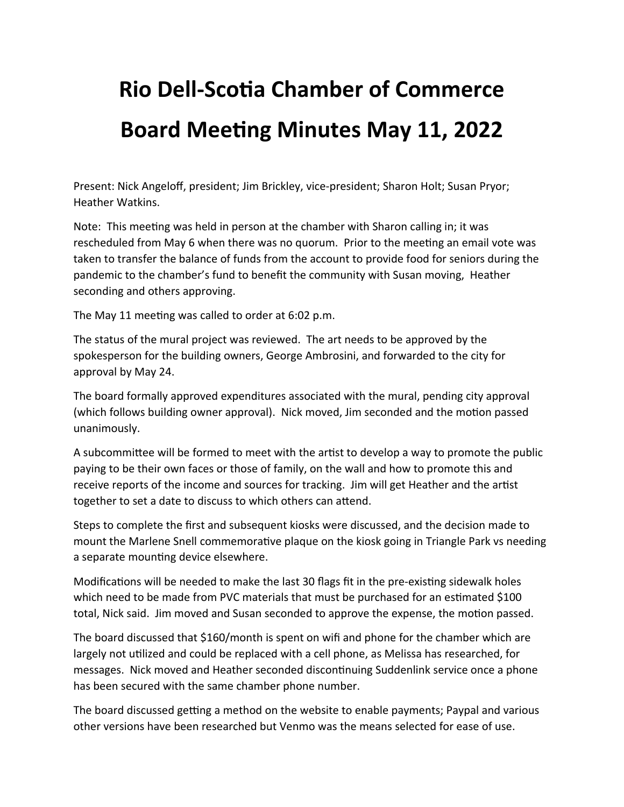## **Rio Dell-Scotia Chamber of Commerce Board Meeting Minutes May 11, 2022**

Present: Nick Angeloff, president; Jim Brickley, vice-president; Sharon Holt; Susan Pryor; Heather Watkins.

Note: This meeting was held in person at the chamber with Sharon calling in; it was rescheduled from May 6 when there was no quorum. Prior to the meeting an email vote was taken to transfer the balance of funds from the account to provide food for seniors during the pandemic to the chamber's fund to benefit the community with Susan moving, Heather seconding and others approving.

The May 11 meeting was called to order at 6:02 p.m.

The status of the mural project was reviewed. The art needs to be approved by the spokesperson for the building owners, George Ambrosini, and forwarded to the city for approval by May 24.

The board formally approved expenditures associated with the mural, pending city approval (which follows building owner approval). Nick moved, Jim seconded and the motion passed unanimously.

A subcommittee will be formed to meet with the artist to develop a way to promote the public paying to be their own faces or those of family, on the wall and how to promote this and receive reports of the income and sources for tracking. Jim will get Heather and the artist together to set a date to discuss to which others can attend.

Steps to complete the first and subsequent kiosks were discussed, and the decision made to mount the Marlene Snell commemorative plaque on the kiosk going in Triangle Park vs needing a separate mounting device elsewhere.

Modifications will be needed to make the last 30 flags fit in the pre-existing sidewalk holes which need to be made from PVC materials that must be purchased for an estimated \$100 total, Nick said. Jim moved and Susan seconded to approve the expense, the motion passed.

The board discussed that \$160/month is spent on wifi and phone for the chamber which are largely not utilized and could be replaced with a cell phone, as Melissa has researched, for messages. Nick moved and Heather seconded discontinuing Suddenlink service once a phone has been secured with the same chamber phone number.

The board discussed getting a method on the website to enable payments; Paypal and various other versions have been researched but Venmo was the means selected for ease of use.